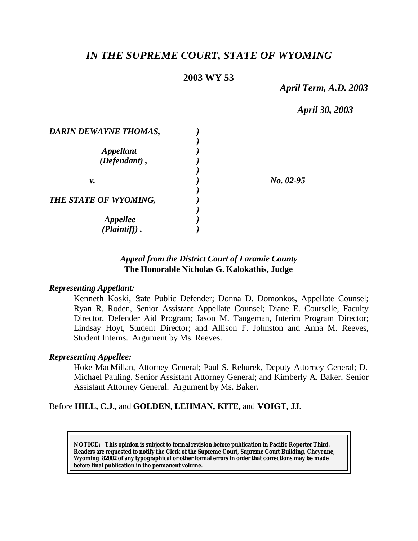# *IN THE SUPREME COURT, STATE OF WYOMING*

# **2003 WY 53**

*April Term, A.D. 2003*

*April 30, 2003*

| <b>DARIN DEWAYNE THOMAS,</b> |             |
|------------------------------|-------------|
|                              |             |
| <b>Appellant</b>             |             |
| (Defendant),                 |             |
|                              |             |
| ν.                           | $No. 02-95$ |
|                              |             |
| THE STATE OF WYOMING,        |             |
|                              |             |
|                              |             |
| Appellee<br>(Plaintiff)      |             |

# *Appeal from the District Court of Laramie County* **The Honorable Nicholas G. Kalokathis, Judge**

#### *Representing Appellant:*

Kenneth Koski, State Public Defender; Donna D. Domonkos, Appellate Counsel; Ryan R. Roden, Senior Assistant Appellate Counsel; Diane E. Courselle, Faculty Director, Defender Aid Program; Jason M. Tangeman, Interim Program Director; Lindsay Hoyt, Student Director; and Allison F. Johnston and Anna M. Reeves, Student Interns. Argument by Ms. Reeves.

### *Representing Appellee:*

Hoke MacMillan, Attorney General; Paul S. Rehurek, Deputy Attorney General; D. Michael Pauling, Senior Assistant Attorney General; and Kimberly A. Baker, Senior Assistant Attorney General. Argument by Ms. Baker.

### Before **HILL, C.J.,** and **GOLDEN, LEHMAN, KITE,** and **VOIGT, JJ.**

**NOTICE:** *This opinion is subject to formal revision before publication in Pacific Reporter Third. Readers are requested to notify the Clerk of the Supreme Court, Supreme Court Building, Cheyenne, Wyoming 82002 of any typographical or other formal errors in order that corrections may be made before final publication in the permanent volume.*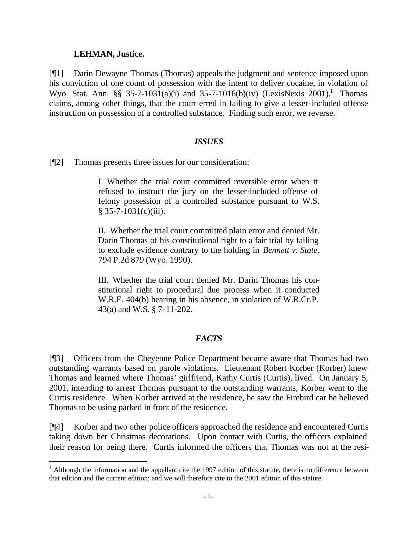#### **LEHMAN, Justice.**

l

[¶1] Darin Dewayne Thomas (Thomas) appeals the judgment and sentence imposed upon his conviction of one count of possession with the intent to deliver cocaine, in violation of Wyo. Stat. Ann. §§ 35-7-1031(a)(i) and 35-7-1016(b)(iv) (LexisNexis 2001).<sup>1</sup> Thomas claims, among other things, that the court erred in failing to give a lesser-included offense instruction on possession of a controlled substance. Finding such error, we reverse.

#### *ISSUES*

[¶2] Thomas presents three issues for our consideration:

I. Whether the trial court committed reversible error when it refused to instruct the jury on the lesser-included offense of felony possession of a controlled substance pursuant to W.S.  $§ 35-7-1031(c)(iii).$ 

II. Whether the trial court committed plain error and denied Mr. Darin Thomas of his constitutional right to a fair trial by failing to exclude evidence contrary to the holding in *Bennett v. State*, 794 P.2d 879 (Wyo. 1990).

III. Whether the trial court denied Mr. Darin Thomas his constitutional right to procedural due process when it conducted W.R.E. 404(b) hearing in his absence, in violation of W.R.Cr.P. 43(a) and W.S. § 7-11-202.

#### *FACTS*

[¶3] Officers from the Cheyenne Police Department became aware that Thomas had two outstanding warrants based on parole violations. Lieutenant Robert Korber (Korber) knew Thomas and learned where Thomas' girlfriend, Kathy Curtis (Curtis), lived. On January 5, 2001, intending to arrest Thomas pursuant to the outstanding warrants, Korber went to the Curtis residence. When Korber arrived at the residence, he saw the Firebird car he believed Thomas to be using parked in front of the residence.

[¶4] Korber and two other police officers approached the residence and encountered Curtis taking down her Christmas decorations. Upon contact with Curtis, the officers explained their reason for being there. Curtis informed the officers that Thomas was not at the resi-

 $1$  Although the information and the appellant cite the 1997 edition of this statute, there is no difference between that edition and the current edition; and we will therefore cite to the 2001 edition of this statute.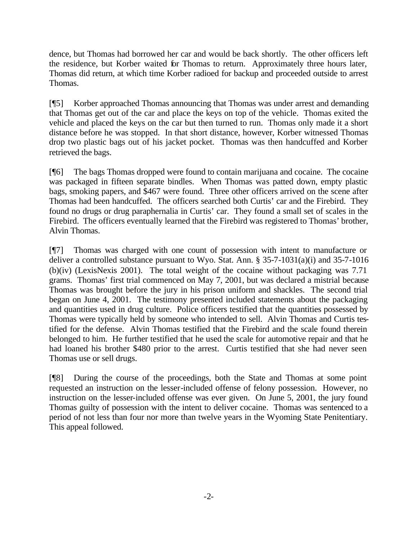dence, but Thomas had borrowed her car and would be back shortly. The other officers left the residence, but Korber waited for Thomas to return. Approximately three hours later, Thomas did return, at which time Korber radioed for backup and proceeded outside to arrest Thomas.

[¶5] Korber approached Thomas announcing that Thomas was under arrest and demanding that Thomas get out of the car and place the keys on top of the vehicle. Thomas exited the vehicle and placed the keys on the car but then turned to run. Thomas only made it a short distance before he was stopped. In that short distance, however, Korber witnessed Thomas drop two plastic bags out of his jacket pocket. Thomas was then handcuffed and Korber retrieved the bags.

[¶6] The bags Thomas dropped were found to contain marijuana and cocaine. The cocaine was packaged in fifteen separate bindles. When Thomas was patted down, empty plastic bags, smoking papers, and \$467 were found. Three other officers arrived on the scene after Thomas had been handcuffed. The officers searched both Curtis' car and the Firebird. They found no drugs or drug paraphernalia in Curtis' car. They found a small set of scales in the Firebird. The officers eventually learned that the Firebird was registered to Thomas' brother, Alvin Thomas.

[¶7] Thomas was charged with one count of possession with intent to manufacture or deliver a controlled substance pursuant to Wyo. Stat. Ann. § 35-7-1031(a)(i) and 35-7-1016 (b)(iv) (LexisNexis 2001). The total weight of the cocaine without packaging was 7.71 grams. Thomas' first trial commenced on May 7, 2001, but was declared a mistrial because Thomas was brought before the jury in his prison uniform and shackles. The second trial began on June 4, 2001. The testimony presented included statements about the packaging and quantities used in drug culture. Police officers testified that the quantities possessed by Thomas were typically held by someone who intended to sell. Alvin Thomas and Curtis testified for the defense. Alvin Thomas testified that the Firebird and the scale found therein belonged to him. He further testified that he used the scale for automotive repair and that he had loaned his brother \$480 prior to the arrest. Curtis testified that she had never seen Thomas use or sell drugs.

[¶8] During the course of the proceedings, both the State and Thomas at some point requested an instruction on the lesser-included offense of felony possession. However, no instruction on the lesser-included offense was ever given. On June 5, 2001, the jury found Thomas guilty of possession with the intent to deliver cocaine. Thomas was sentenced to a period of not less than four nor more than twelve years in the Wyoming State Penitentiary. This appeal followed.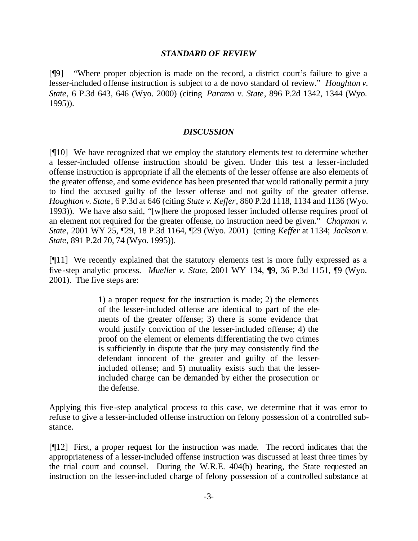#### *STANDARD OF REVIEW*

[¶9] "Where proper objection is made on the record, a district court's failure to give a lesser-included offense instruction is subject to a de novo standard of review." *Houghton v. State*, 6 P.3d 643, 646 (Wyo. 2000) (citing *Paramo v. State*, 896 P.2d 1342, 1344 (Wyo. 1995)).

#### *DISCUSSION*

[¶10] We have recognized that we employ the statutory elements test to determine whether a lesser-included offense instruction should be given. Under this test a lesser-included offense instruction is appropriate if all the elements of the lesser offense are also elements of the greater offense, and some evidence has been presented that would rationally permit a jury to find the accused guilty of the lesser offense and not guilty of the greater offense. *Houghton v. State*, 6 P.3d at 646 (citing *State v. Keffer*, 860 P.2d 1118, 1134 and 1136 (Wyo. 1993)). We have also said, "[w]here the proposed lesser included offense requires proof of an element not required for the greater offense, no instruction need be given." *Chapman v. State*, 2001 WY 25, ¶29, 18 P.3d 1164, ¶29 (Wyo. 2001) (citing *Keffer* at 1134; *Jackson v. State*, 891 P.2d 70, 74 (Wyo. 1995)).

[¶11] We recently explained that the statutory elements test is more fully expressed as a five-step analytic process. *Mueller v. State*, 2001 WY 134, ¶9, 36 P.3d 1151, ¶9 (Wyo. 2001). The five steps are:

> 1) a proper request for the instruction is made; 2) the elements of the lesser-included offense are identical to part of the elements of the greater offense; 3) there is some evidence that would justify conviction of the lesser-included offense; 4) the proof on the element or elements differentiating the two crimes is sufficiently in dispute that the jury may consistently find the defendant innocent of the greater and guilty of the lesserincluded offense; and 5) mutuality exists such that the lesserincluded charge can be demanded by either the prosecution or the defense.

Applying this five-step analytical process to this case, we determine that it was error to refuse to give a lesser-included offense instruction on felony possession of a controlled substance.

[¶12] First, a proper request for the instruction was made. The record indicates that the appropriateness of a lesser-included offense instruction was discussed at least three times by the trial court and counsel. During the W.R.E. 404(b) hearing, the State requested an instruction on the lesser-included charge of felony possession of a controlled substance at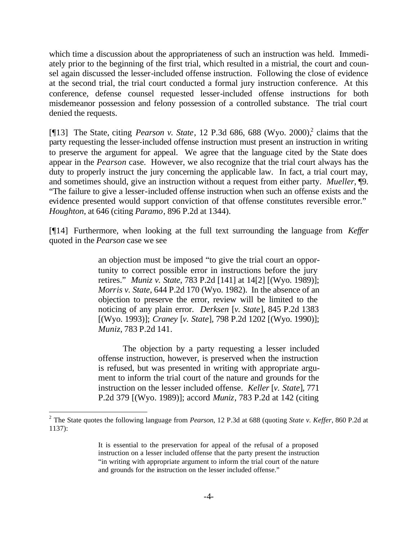which time a discussion about the appropriateness of such an instruction was held. Immediately prior to the beginning of the first trial, which resulted in a mistrial, the court and counsel again discussed the lesser-included offense instruction. Following the close of evidence at the second trial, the trial court conducted a formal jury instruction conference. At this conference, defense counsel requested lesser-included offense instructions for both misdemeanor possession and felony possession of a controlled substance. The trial court denied the requests.

[¶13] The State, citing *Pearson v. State*, 12 P.3d 686, 688 (Wyo. 2000),<sup>2</sup> claims that the party requesting the lesser-included offense instruction must present an instruction in writing to preserve the argument for appeal. We agree that the language cited by the State does appear in the *Pearson* case. However, we also recognize that the trial court always has the duty to properly instruct the jury concerning the applicable law. In fact, a trial court may, and sometimes should, give an instruction without a request from either party. *Mueller*, ¶9. "The failure to give a lesser-included offense instruction when such an offense exists and the evidence presented would support conviction of that offense constitutes reversible error." *Houghton*, at 646 (citing *Paramo*, 896 P.2d at 1344).

[¶14] Furthermore, when looking at the full text surrounding the language from *Keffer* quoted in the *Pearson* case we see

> an objection must be imposed "to give the trial court an opportunity to correct possible error in instructions before the jury retires." *Muniz v. State*, 783 P.2d [141] at 14[2] [(Wyo. 1989)]; *Morris v. State*, 644 P.2d 170 (Wyo. 1982). In the absence of an objection to preserve the error, review will be limited to the noticing of any plain error. *Derksen* [*v. State*], 845 P.2d 1383 [(Wyo. 1993)]; *Craney* [*v. State*], 798 P.2d 1202 [(Wyo. 1990)]; *Muniz*, 783 P.2d 141.

> The objection by a party requesting a lesser included offense instruction, however, is preserved when the instruction is refused, but was presented in writing with appropriate argument to inform the trial court of the nature and grounds for the instruction on the lesser included offense. *Keller* [*v. State*], 771 P.2d 379 [(Wyo. 1989)]; accord *Muniz*, 783 P.2d at 142 (citing

l

<sup>2</sup> The State quotes the following language from *Pearson*, 12 P.3d at 688 (quoting *State v. Keffer*, 860 P.2d at 1137):

It is essential to the preservation for appeal of the refusal of a proposed instruction on a lesser included offense that the party present the instruction "in writing with appropriate argument to inform the trial court of the nature and grounds for the instruction on the lesser included offense."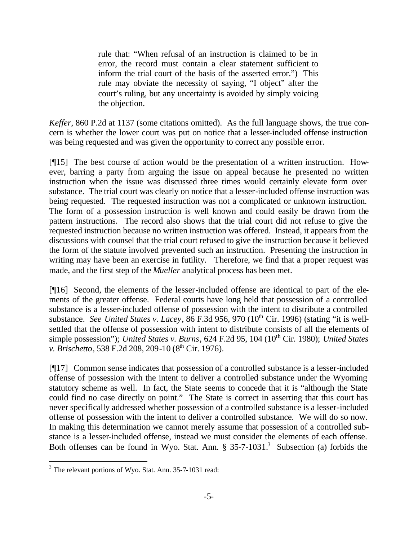rule that: "When refusal of an instruction is claimed to be in error, the record must contain a clear statement sufficient to inform the trial court of the basis of the asserted error.") This rule may obviate the necessity of saying, "I object" after the court's ruling, but any uncertainty is avoided by simply voicing the objection.

*Keffer*, 860 P.2d at 1137 (some citations omitted). As the full language shows, the true concern is whether the lower court was put on notice that a lesser-included offense instruction was being requested and was given the opportunity to correct any possible error.

[¶15] The best course of action would be the presentation of a written instruction. However, barring a party from arguing the issue on appeal because he presented no written instruction when the issue was discussed three times would certainly elevate form over substance. The trial court was clearly on notice that a lesser-included offense instruction was being requested. The requested instruction was not a complicated or unknown instruction. The form of a possession instruction is well known and could easily be drawn from the pattern instructions. The record also shows that the trial court did not refuse to give the requested instruction because no written instruction was offered. Instead, it appears from the discussions with counsel that the trial court refused to give the instruction because it believed the form of the statute involved prevented such an instruction. Presenting the instruction in writing may have been an exercise in futility. Therefore, we find that a proper request was made, and the first step of the *Mueller* analytical process has been met.

[¶16] Second, the elements of the lesser-included offense are identical to part of the elements of the greater offense. Federal courts have long held that possession of a controlled substance is a lesser-included offense of possession with the intent to distribute a controlled substance. *See United States v. Lacey*, 86 F.3d 956, 970 (10<sup>th</sup> Cir. 1996) (stating "it is wellsettled that the offense of possession with intent to distribute consists of all the elements of simple possession"); *United States v. Burns*, 624 F.2d 95, 104 (10<sup>th</sup> Cir. 1980); *United States v. Brischetto*, 538 F.2d 208, 209-10 (8<sup>th</sup> Cir. 1976).

[¶17] Common sense indicates that possession of a controlled substance is a lesser-included offense of possession with the intent to deliver a controlled substance under the Wyoming statutory scheme as well. In fact, the State seems to concede that it is "although the State could find no case directly on point." The State is correct in asserting that this court has never specifically addressed whether possession of a controlled substance is a lesser-included offense of possession with the intent to deliver a controlled substance. We will do so now. In making this determination we cannot merely assume that possession of a controlled substance is a lesser-included offense, instead we must consider the elements of each offense. Both offenses can be found in Wyo. Stat. Ann.  $\S 35$ -7-1031.<sup>3</sup> Subsection (a) forbids the

l

<sup>&</sup>lt;sup>3</sup> The relevant portions of Wyo. Stat. Ann. 35-7-1031 read: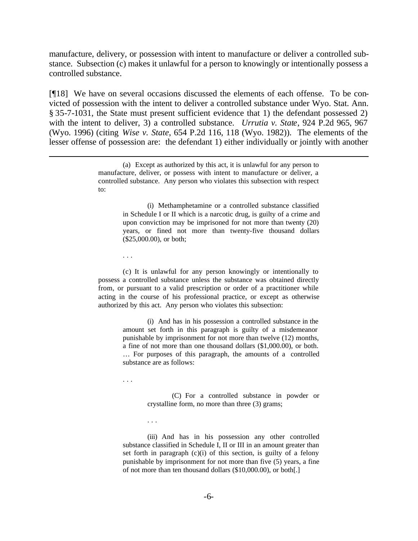manufacture, delivery, or possession with intent to manufacture or deliver a controlled substance. Subsection (c) makes it unlawful for a person to knowingly or intentionally possess a controlled substance.

[¶18] We have on several occasions discussed the elements of each offense. To be convicted of possession with the intent to deliver a controlled substance under Wyo. Stat. Ann. § 35-7-1031, the State must present sufficient evidence that 1) the defendant possessed 2) with the intent to deliver, 3) a controlled substance. *Urrutia v. State*, 924 P.2d 965, 967 (Wyo. 1996) (citing *Wise v. State*, 654 P.2d 116, 118 (Wyo. 1982)). The elements of the lesser offense of possession are: the defendant 1) either individually or jointly with another

(i) Methamphetamine or a controlled substance classified in Schedule I or II which is a narcotic drug, is guilty of a crime and upon conviction may be imprisoned for not more than twenty (20) years, or fined not more than twenty-five thousand dollars (\$25,000.00), or both;

. . .

l

(c) It is unlawful for any person knowingly or intentionally to possess a controlled substance unless the substance was obtained directly from, or pursuant to a valid prescription or order of a practitioner while acting in the course of his professional practice, or except as otherwise authorized by this act. Any person who violates this subsection:

> (i) And has in his possession a controlled substance in the amount set forth in this paragraph is guilty of a misdemeanor punishable by imprisonment for not more than twelve (12) months, a fine of not more than one thousand dollars (\$1,000.00), or both. … For purposes of this paragraph, the amounts of a controlled substance are as follows:

. . .

. . .

(C) For a controlled substance in powder or crystalline form, no more than three (3) grams;

(iii) And has in his possession any other controlled substance classified in Schedule I, II or III in an amount greater than set forth in paragraph (c)(i) of this section, is guilty of a felony punishable by imprisonment for not more than five (5) years, a fine of not more than ten thousand dollars (\$10,000.00), or both[.]

<sup>(</sup>a) Except as authorized by this act, it is unlawful for any person to manufacture, deliver, or possess with intent to manufacture or deliver, a controlled substance. Any person who violates this subsection with respect to: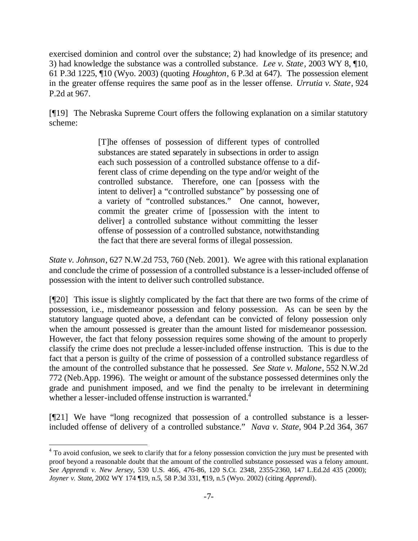exercised dominion and control over the substance; 2) had knowledge of its presence; and 3) had knowledge the substance was a controlled substance. *Lee v. State*, 2003 WY 8, ¶10, 61 P.3d 1225, ¶10 (Wyo. 2003) (quoting *Houghton*, 6 P.3d at 647). The possession element in the greater offense requires the same poof as in the lesser offense. *Urrutia v. State*, 924 P.2d at 967.

[¶19] The Nebraska Supreme Court offers the following explanation on a similar statutory scheme:

> [T]he offenses of possession of different types of controlled substances are stated separately in subsections in order to assign each such possession of a controlled substance offense to a different class of crime depending on the type and/or weight of the controlled substance. Therefore, one can [possess with the intent to deliver] a "controlled substance" by possessing one of a variety of "controlled substances." One cannot, however, commit the greater crime of [possession with the intent to deliver] a controlled substance without committing the lesser offense of possession of a controlled substance, notwithstanding the fact that there are several forms of illegal possession.

*State v. Johnson*, 627 N.W.2d 753, 760 (Neb. 2001). We agree with this rational explanation and conclude the crime of possession of a controlled substance is a lesser-included offense of possession with the intent to deliver such controlled substance.

[¶20] This issue is slightly complicated by the fact that there are two forms of the crime of possession, i.e., misdemeanor possession and felony possession. As can be seen by the statutory language quoted above, a defendant can be convicted of felony possession only when the amount possessed is greater than the amount listed for misdemeanor possession. However, the fact that felony possession requires some showing of the amount to properly classify the crime does not preclude a lesser-included offense instruction. This is due to the fact that a person is guilty of the crime of possession of a controlled substance regardless of the amount of the controlled substance that he possessed. *See State v. Malone*, 552 N.W.2d 772 (Neb.App. 1996). The weight or amount of the substance possessed determines only the grade and punishment imposed, and we find the penalty to be irrelevant in determining whether a lesser-included offense instruction is warranted.<sup>4</sup>

[¶21] We have "long recognized that possession of a controlled substance is a lesserincluded offense of delivery of a controlled substance." *Nava v. State*, 904 P.2d 364, 367

<sup>&</sup>lt;sup>4</sup> To avoid confusion, we seek to clarify that for a felony possession conviction the jury must be presented with proof beyond a reasonable doubt that the amount of the controlled substance possessed was a felony amount. *See Apprendi v. New Jersey*, 530 U.S. 466, 476-86, 120 S.Ct. 2348, 2355-2360, 147 L.Ed.2d 435 (2000); *Joyner v. State*, 2002 WY 174 ¶19, n.5, 58 P.3d 331, ¶19, n.5 (Wyo. 2002) (citing *Apprendi*).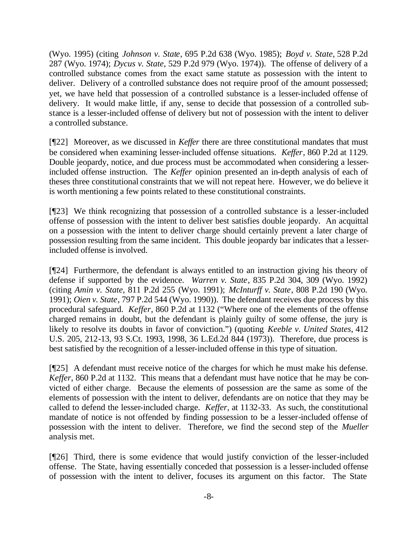(Wyo. 1995) (citing *Johnson v. State*, 695 P.2d 638 (Wyo. 1985); *Boyd v. State*, 528 P.2d 287 (Wyo. 1974); *Dycus v. State*, 529 P.2d 979 (Wyo. 1974)). The offense of delivery of a controlled substance comes from the exact same statute as possession with the intent to deliver. Delivery of a controlled substance does not require proof of the amount possessed; yet, we have held that possession of a controlled substance is a lesser-included offense of delivery. It would make little, if any, sense to decide that possession of a controlled substance is a lesser-included offense of delivery but not of possession with the intent to deliver a controlled substance.

[¶22] Moreover, as we discussed in *Keffer* there are three constitutional mandates that must be considered when examining lesser-included offense situations. *Keffer*, 860 P.2d at 1129. Double jeopardy, notice, and due process must be accommodated when considering a lesserincluded offense instruction. The *Keffer* opinion presented an in-depth analysis of each of theses three constitutional constraints that we will not repeat here. However, we do believe it is worth mentioning a few points related to these constitutional constraints.

[¶23] We think recognizing that possession of a controlled substance is a lesser-included offense of possession with the intent to deliver best satisfies double jeopardy. An acquittal on a possession with the intent to deliver charge should certainly prevent a later charge of possession resulting from the same incident. This double jeopardy bar indicates that a lesserincluded offense is involved.

[¶24] Furthermore, the defendant is always entitled to an instruction giving his theory of defense if supported by the evidence. *Warren v. State*, 835 P.2d 304, 309 (Wyo. 1992) (citing *Amin v. State*, 811 P.2d 255 (Wyo. 1991); *McInturff v. State*, 808 P.2d 190 (Wyo. 1991); *Oien v. State*, 797 P.2d 544 (Wyo. 1990)).The defendant receives due process by this procedural safeguard. *Keffer*, 860 P.2d at 1132 ("Where one of the elements of the offense charged remains in doubt, but the defendant is plainly guilty of some offense, the jury is likely to resolve its doubts in favor of conviction.") (quoting *Keeble v. United States*, 412 U.S. 205, 212-13, 93 S.Ct. 1993, 1998, 36 L.Ed.2d 844 (1973)). Therefore, due process is best satisfied by the recognition of a lesser-included offense in this type of situation.

[¶25] A defendant must receive notice of the charges for which he must make his defense. *Keffer*, 860 P.2d at 1132. This means that a defendant must have notice that he may be convicted of either charge. Because the elements of possession are the same as some of the elements of possession with the intent to deliver, defendants are on notice that they may be called to defend the lesser-included charge. *Keffer*, at 1132-33. As such, the constitutional mandate of notice is not offended by finding possession to be a lesser-included offense of possession with the intent to deliver. Therefore, we find the second step of the *Mueller*  analysis met.

[¶26] Third, there is some evidence that would justify conviction of the lesser-included offense. The State, having essentially conceded that possession is a lesser-included offense of possession with the intent to deliver, focuses its argument on this factor. The State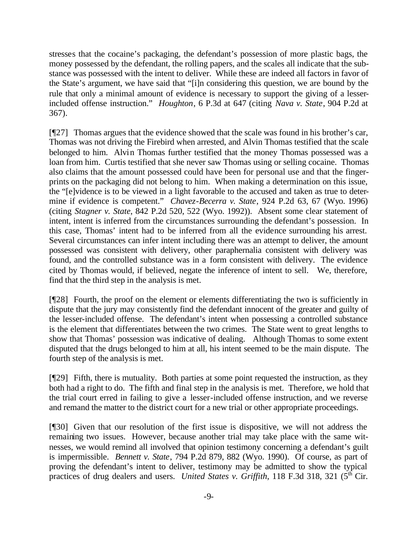stresses that the cocaine's packaging, the defendant's possession of more plastic bags, the money possessed by the defendant, the rolling papers, and the scales all indicate that the substance was possessed with the intent to deliver. While these are indeed all factors in favor of the State's argument, we have said that "[i]n considering this question, we are bound by the rule that only a minimal amount of evidence is necessary to support the giving of a lesserincluded offense instruction." *Houghton*, 6 P.3d at 647 (citing *Nava v. State*, 904 P.2d at 367).

[¶27] Thomas argues that the evidence showed that the scale was found in his brother's car, Thomas was not driving the Firebird when arrested, and Alvin Thomas testified that the scale belonged to him. Alvin Thomas further testified that the money Thomas possessed was a loan from him. Curtis testified that she never saw Thomas using or selling cocaine. Thomas also claims that the amount possessed could have been for personal use and that the fingerprints on the packaging did not belong to him. When making a determination on this issue, the "[e]vidence is to be viewed in a light favorable to the accused and taken as true to determine if evidence is competent." *Chavez-Becerra v. State*, 924 P.2d 63, 67 (Wyo. 1996) (citing *Stagner v. State*, 842 P.2d 520, 522 (Wyo. 1992)). Absent some clear statement of intent, intent is inferred from the circumstances surrounding the defendant's possession. In this case, Thomas' intent had to be inferred from all the evidence surrounding his arrest. Several circumstances can infer intent including there was an attempt to deliver, the amount possessed was consistent with delivery, other paraphernalia consistent with delivery was found, and the controlled substance was in a form consistent with delivery. The evidence cited by Thomas would, if believed, negate the inference of intent to sell. We, therefore, find that the third step in the analysis is met.

[¶28] Fourth, the proof on the element or elements differentiating the two is sufficiently in dispute that the jury may consistently find the defendant innocent of the greater and guilty of the lesser-included offense. The defendant's intent when possessing a controlled substance is the element that differentiates between the two crimes. The State went to great lengths to show that Thomas' possession was indicative of dealing. Although Thomas to some extent disputed that the drugs belonged to him at all, his intent seemed to be the main dispute. The fourth step of the analysis is met.

[¶29] Fifth, there is mutuality. Both parties at some point requested the instruction, as they both had a right to do. The fifth and final step in the analysis is met. Therefore, we hold that the trial court erred in failing to give a lesser-included offense instruction, and we reverse and remand the matter to the district court for a new trial or other appropriate proceedings.

[¶30] Given that our resolution of the first issue is dispositive, we will not address the remaining two issues. However, because another trial may take place with the same witnesses, we would remind all involved that opinion testimony concerning a defendant's guilt is impermissible. *Bennett v. State*, 794 P.2d 879, 882 (Wyo. 1990). Of course, as part of proving the defendant's intent to deliver, testimony may be admitted to show the typical practices of drug dealers and users. *United States v. Griffith*, 118 F.3d 318, 321 (5<sup>th</sup> Cir.